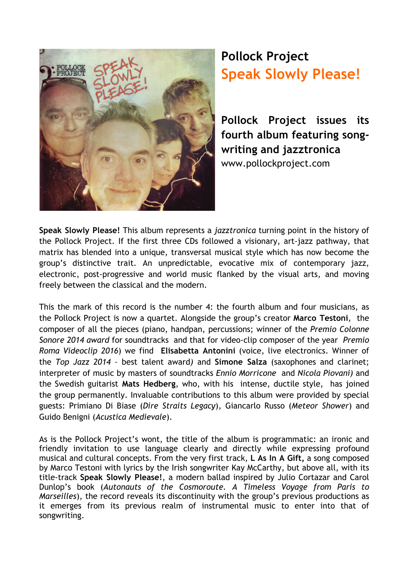

## **Pollock Project Speak Slowly Please!**

**Pollock Project issues its fourth album featuring songwriting and jazztronica** www.pollockproject.com

**Speak Slowly Please!** This album represents a *jazztronica* turning point in the history of the Pollock Project. If the first three CDs followed a visionary, art-jazz pathway, that matrix has blended into a unique, transversal musical style which has now become the group's distinctive trait. An unpredictable, evocative mix of contemporary jazz, electronic, post-progressive and world music flanked by the visual arts, and moving freely between the classical and the modern.

This the mark of this record is the number 4: the fourth album and four musicians, as the Pollock Project is now a quartet. Alongside the group's creator **Marco Testoni**, the composer of all the pieces (piano, handpan, percussions; winner of the *Premio Colonne Sonore 2014 award* for soundtracks and that for video-clip composer of the year *Premio Roma Videoclip 2016*) we find **Elisabetta Antonini** (voice, live electronics. Winner of the *Top Jazz 2014 –* best talent award*)* and **Simone Salza** (saxophones and clarinet; interpreter of music by masters of soundtracks *Ennio Morricone* and *Nicola Piovani)* and the Swedish guitarist **Mats Hedberg**, who, with his intense, ductile style, has joined the group permanently. Invaluable contributions to this album were provided by special guests: Primiano Di Biase (*Dire Straits Legacy*), Giancarlo Russo (*Meteor Shower*) and Guido Benigni (*Acustica Medievale*).

As is the Pollock Project's wont, the title of the album is programmatic: an ironic and friendly invitation to use language clearly and directly while expressing profound musical and cultural concepts. From the very first track, **L As In A Gift,** a song composed by Marco Testoni with lyrics by the Irish songwriter Kay McCarthy, but above all, with its title-track **Speak Slowly Please!**, a modern ballad inspired by Julio Cortazar and Carol Dunlop's book (*Autonauts of the Cosmoroute. A Timeless Voyage from Paris to Marseilles*), the record reveals its discontinuity with the group's previous productions as it emerges from its previous realm of instrumental music to enter into that of songwriting.